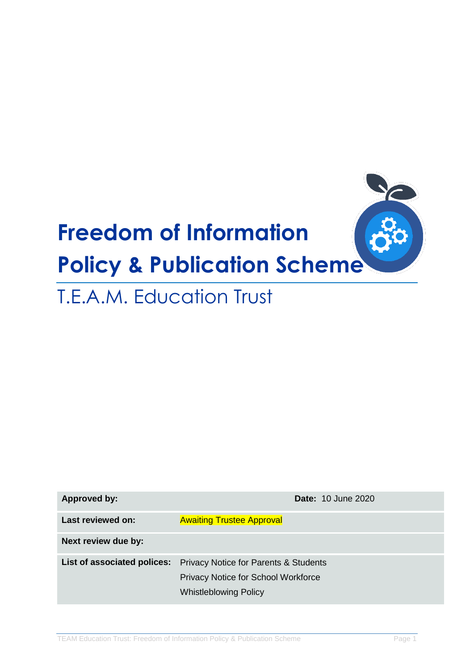

# T.E.A.M. Education Trust

| Approved by:                | <b>Date: 10 June 2020</b>                                                                                               |  |  |
|-----------------------------|-------------------------------------------------------------------------------------------------------------------------|--|--|
| Last reviewed on:           | <b>Awaiting Trustee Approval</b>                                                                                        |  |  |
| Next review due by:         |                                                                                                                         |  |  |
| List of associated polices: | <b>Privacy Notice for Parents &amp; Students</b><br>Privacy Notice for School Workforce<br><b>Whistleblowing Policy</b> |  |  |
|                             |                                                                                                                         |  |  |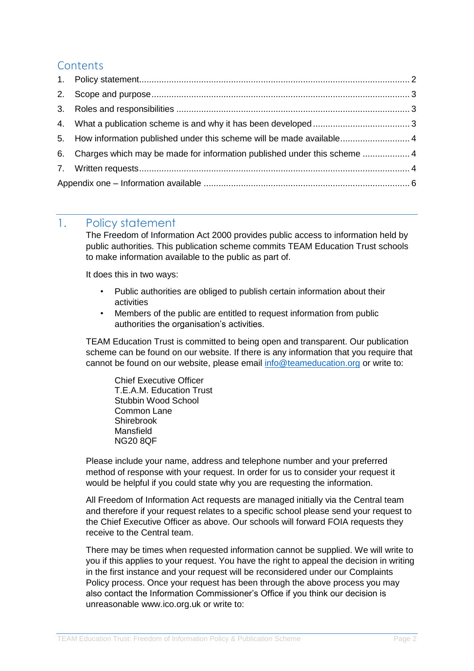## **Contents**

|  | 5. How information published under this scheme will be made available 4     |  |
|--|-----------------------------------------------------------------------------|--|
|  | 6. Charges which may be made for information published under this scheme  4 |  |
|  |                                                                             |  |
|  |                                                                             |  |

### <span id="page-1-0"></span>1. Policy statement

The Freedom of Information Act 2000 provides public access to information held by public authorities. This publication scheme commits TEAM Education Trust schools to make information available to the public as part of.

It does this in two ways:

- Public authorities are obliged to publish certain information about their activities
- Members of the public are entitled to request information from public authorities the organisation's activities.

TEAM Education Trust is committed to being open and transparent. Our publication scheme can be found on our website. If there is any information that you require that cannot be found on our website, please email [info@teameducation.org](mailto:info@teameducation.org) or write to:

Chief Executive Officer T.E.A.M. Education Trust Stubbin Wood School Common Lane Shirebrook Mansfield NG20 8QF

Please include your name, address and telephone number and your preferred method of response with your request. In order for us to consider your request it would be helpful if you could state why you are requesting the information.

All Freedom of Information Act requests are managed initially via the Central team and therefore if your request relates to a specific school please send your request to the Chief Executive Officer as above. Our schools will forward FOIA requests they receive to the Central team.

There may be times when requested information cannot be supplied. We will write to you if this applies to your request. You have the right to appeal the decision in writing in the first instance and your request will be reconsidered under our Complaints Policy process. Once your request has been through the above process you may also contact the Information Commissioner's Office if you think our decision is unreasonable www.ico.org.uk or write to: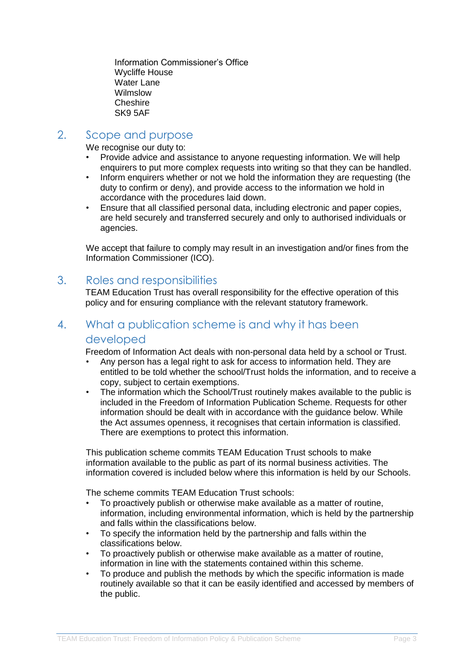Information Commissioner's Office Wycliffe House Water Lane Wilmslow Cheshire SK9 5AF

## <span id="page-2-0"></span>2. Scope and purpose

We recognise our duty to:

- Provide advice and assistance to anyone requesting information. We will help enquirers to put more complex requests into writing so that they can be handled.
- Inform enquirers whether or not we hold the information they are requesting (the duty to confirm or deny), and provide access to the information we hold in accordance with the procedures laid down.
- Ensure that all classified personal data, including electronic and paper copies, are held securely and transferred securely and only to authorised individuals or agencies.

We accept that failure to comply may result in an investigation and/or fines from the Information Commissioner (ICO).

#### <span id="page-2-1"></span>3. Roles and responsibilities

TEAM Education Trust has overall responsibility for the effective operation of this policy and for ensuring compliance with the relevant statutory framework.

## <span id="page-2-2"></span>4. What a publication scheme is and why it has been developed

Freedom of Information Act deals with non-personal data held by a school or Trust.

- Any person has a legal right to ask for access to information held. They are entitled to be told whether the school/Trust holds the information, and to receive a copy, subject to certain exemptions.
- The information which the School/Trust routinely makes available to the public is included in the Freedom of Information Publication Scheme. Requests for other information should be dealt with in accordance with the guidance below. While the Act assumes openness, it recognises that certain information is classified. There are exemptions to protect this information.

This publication scheme commits TEAM Education Trust schools to make information available to the public as part of its normal business activities. The information covered is included below where this information is held by our Schools.

The scheme commits TEAM Education Trust schools:

- To proactively publish or otherwise make available as a matter of routine, information, including environmental information, which is held by the partnership and falls within the classifications below.
- To specify the information held by the partnership and falls within the classifications below.
- To proactively publish or otherwise make available as a matter of routine, information in line with the statements contained within this scheme.
- To produce and publish the methods by which the specific information is made routinely available so that it can be easily identified and accessed by members of the public.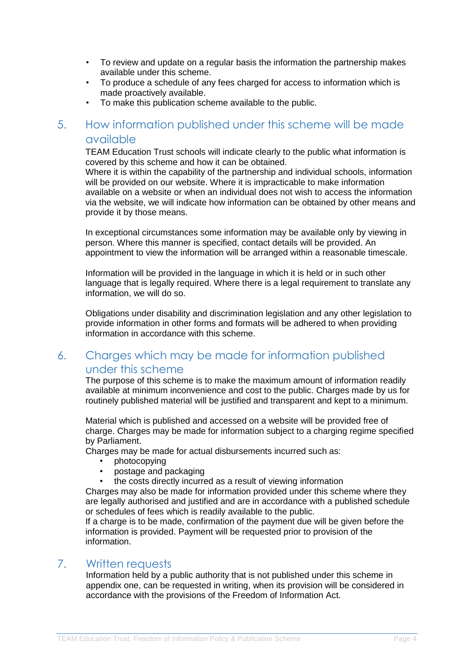- To review and update on a regular basis the information the partnership makes available under this scheme.
- To produce a schedule of any fees charged for access to information which is made proactively available.
- To make this publication scheme available to the public.

## <span id="page-3-0"></span>5. How information published under this scheme will be made available

TEAM Education Trust schools will indicate clearly to the public what information is covered by this scheme and how it can be obtained.

Where it is within the capability of the partnership and individual schools, information will be provided on our website. Where it is impracticable to make information available on a website or when an individual does not wish to access the information via the website, we will indicate how information can be obtained by other means and provide it by those means.

In exceptional circumstances some information may be available only by viewing in person. Where this manner is specified, contact details will be provided. An appointment to view the information will be arranged within a reasonable timescale.

Information will be provided in the language in which it is held or in such other language that is legally required. Where there is a legal requirement to translate any information, we will do so.

Obligations under disability and discrimination legislation and any other legislation to provide information in other forms and formats will be adhered to when providing information in accordance with this scheme.

## <span id="page-3-1"></span>6. Charges which may be made for information published under this scheme

The purpose of this scheme is to make the maximum amount of information readily available at minimum inconvenience and cost to the public. Charges made by us for routinely published material will be justified and transparent and kept to a minimum.

Material which is published and accessed on a website will be provided free of charge. Charges may be made for information subject to a charging regime specified by Parliament.

Charges may be made for actual disbursements incurred such as:

- photocopying
- postage and packaging
- the costs directly incurred as a result of viewing information

Charges may also be made for information provided under this scheme where they are legally authorised and justified and are in accordance with a published schedule or schedules of fees which is readily available to the public.

If a charge is to be made, confirmation of the payment due will be given before the information is provided. Payment will be requested prior to provision of the information.

#### <span id="page-3-2"></span>7. Written requests

Information held by a public authority that is not published under this scheme in appendix one, can be requested in writing, when its provision will be considered in accordance with the provisions of the Freedom of Information Act.